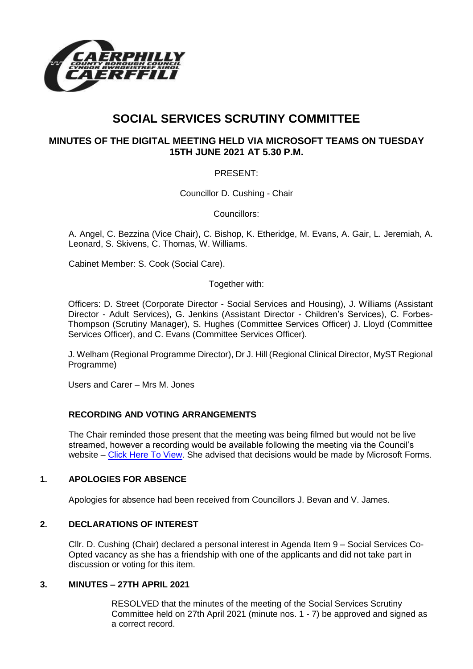

# **SOCIAL SERVICES SCRUTINY COMMITTEE**

# **MINUTES OF THE DIGITAL MEETING HELD VIA MICROSOFT TEAMS ON TUESDAY 15TH JUNE 2021 AT 5.30 P.M.**

## PRESENT:

Councillor D. Cushing - Chair

Councillors:

A. Angel, C. Bezzina (Vice Chair), C. Bishop, K. Etheridge, M. Evans, A. Gair, L. Jeremiah, A. Leonard, S. Skivens, C. Thomas, W. Williams.

Cabinet Member: S. Cook (Social Care).

Together with:

Officers: D. Street (Corporate Director - Social Services and Housing), J. Williams (Assistant Director - Adult Services), G. Jenkins (Assistant Director - Children's Services), C. Forbes-Thompson (Scrutiny Manager), S. Hughes (Committee Services Officer) J. Lloyd (Committee Services Officer), and C. Evans (Committee Services Officer).

J. Welham (Regional Programme Director), Dr J. Hill (Regional Clinical Director, MyST Regional Programme)

Users and Carer – Mrs M. Jones

## **RECORDING AND VOTING ARRANGEMENTS**

The Chair reminded those present that the meeting was being filmed but would not be live streamed, however a recording would be available following the meeting via the Council's website – [Click Here To View.](https://www.caerphilly.gov.uk/My-Council/Meetings,-agendas,-minutes-and-reports/Council-meetings) She advised that decisions would be made by Microsoft Forms.

## **1. APOLOGIES FOR ABSENCE**

Apologies for absence had been received from Councillors J. Bevan and V. James.

#### **2. DECLARATIONS OF INTEREST**

Cllr. D. Cushing (Chair) declared a personal interest in Agenda Item 9 – Social Services Co-Opted vacancy as she has a friendship with one of the applicants and did not take part in discussion or voting for this item.

#### **3. MINUTES – 27TH APRIL 2021**

RESOLVED that the minutes of the meeting of the Social Services Scrutiny Committee held on 27th April 2021 (minute nos. 1 - 7) be approved and signed as a correct record.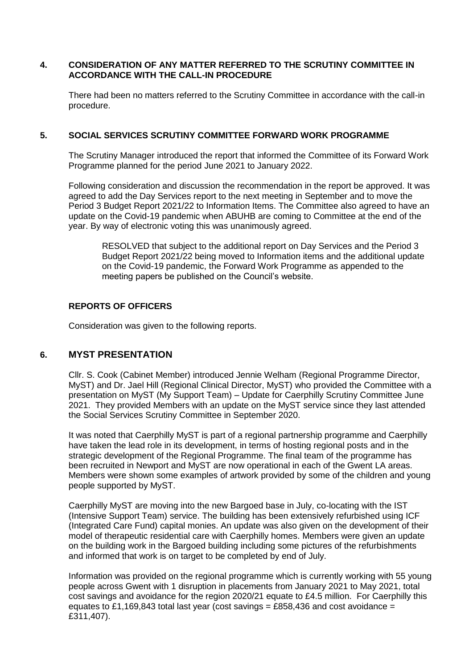## **4. CONSIDERATION OF ANY MATTER REFERRED TO THE SCRUTINY COMMITTEE IN ACCORDANCE WITH THE CALL-IN PROCEDURE**

There had been no matters referred to the Scrutiny Committee in accordance with the call-in procedure.

#### **5. SOCIAL SERVICES SCRUTINY COMMITTEE FORWARD WORK PROGRAMME**

The Scrutiny Manager introduced the report that informed the Committee of its Forward Work Programme planned for the period June 2021 to January 2022.

Following consideration and discussion the recommendation in the report be approved. It was agreed to add the Day Services report to the next meeting in September and to move the Period 3 Budget Report 2021/22 to Information Items. The Committee also agreed to have an update on the Covid-19 pandemic when ABUHB are coming to Committee at the end of the year. By way of electronic voting this was unanimously agreed.

RESOLVED that subject to the additional report on Day Services and the Period 3 Budget Report 2021/22 being moved to Information items and the additional update on the Covid-19 pandemic, the Forward Work Programme as appended to the meeting papers be published on the Council's website.

## **REPORTS OF OFFICERS**

Consideration was given to the following reports.

## **6. MYST PRESENTATION**

Cllr. S. Cook (Cabinet Member) introduced Jennie Welham (Regional Programme Director, MyST) and Dr. Jael Hill (Regional Clinical Director, MyST) who provided the Committee with a presentation on MyST (My Support Team) – Update for Caerphilly Scrutiny Committee June 2021. They provided Members with an update on the MyST service since they last attended the Social Services Scrutiny Committee in September 2020.

It was noted that Caerphilly MyST is part of a regional partnership programme and Caerphilly have taken the lead role in its development, in terms of hosting regional posts and in the strategic development of the Regional Programme. The final team of the programme has been recruited in Newport and MyST are now operational in each of the Gwent LA areas. Members were shown some examples of artwork provided by some of the children and young people supported by MyST.

Caerphilly MyST are moving into the new Bargoed base in July, co-locating with the IST (Intensive Support Team) service. The building has been extensively refurbished using ICF (Integrated Care Fund) capital monies. An update was also given on the development of their model of therapeutic residential care with Caerphilly homes. Members were given an update on the building work in the Bargoed building including some pictures of the refurbishments and informed that work is on target to be completed by end of July.

Information was provided on the regional programme which is currently working with 55 young people across Gwent with 1 disruption in placements from January 2021 to May 2021, total cost savings and avoidance for the region 2020/21 equate to £4.5 million. For Caerphilly this equates to £1,169,843 total last year (cost savings = £858,436 and cost avoidance = £311,407).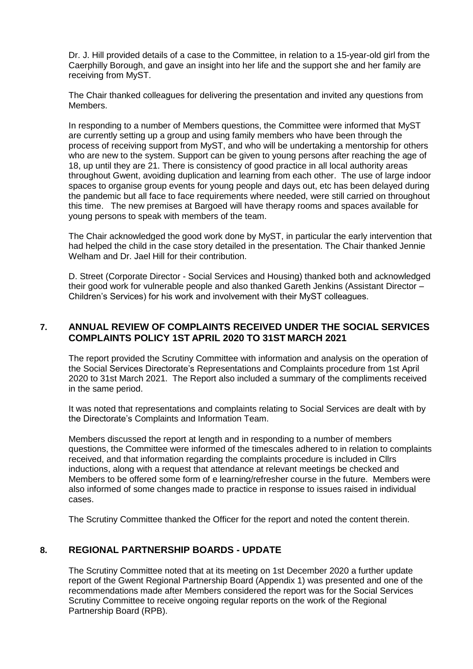Dr. J. Hill provided details of a case to the Committee, in relation to a 15-year-old girl from the Caerphilly Borough, and gave an insight into her life and the support she and her family are receiving from MyST.

The Chair thanked colleagues for delivering the presentation and invited any questions from Members.

In responding to a number of Members questions, the Committee were informed that MyST are currently setting up a group and using family members who have been through the process of receiving support from MyST, and who will be undertaking a mentorship for others who are new to the system. Support can be given to young persons after reaching the age of 18, up until they are 21. There is consistency of good practice in all local authority areas throughout Gwent, avoiding duplication and learning from each other. The use of large indoor spaces to organise group events for young people and days out, etc has been delayed during the pandemic but all face to face requirements where needed, were still carried on throughout this time. The new premises at Bargoed will have therapy rooms and spaces available for young persons to speak with members of the team.

The Chair acknowledged the good work done by MyST, in particular the early intervention that had helped the child in the case story detailed in the presentation. The Chair thanked Jennie Welham and Dr. Jael Hill for their contribution.

D. Street (Corporate Director - Social Services and Housing) thanked both and acknowledged their good work for vulnerable people and also thanked Gareth Jenkins (Assistant Director – Children's Services) for his work and involvement with their MyST colleagues.

# **7. ANNUAL REVIEW OF COMPLAINTS RECEIVED UNDER THE SOCIAL SERVICES COMPLAINTS POLICY 1ST APRIL 2020 TO 31ST MARCH 2021**

The report provided the Scrutiny Committee with information and analysis on the operation of the Social Services Directorate's Representations and Complaints procedure from 1st April 2020 to 31st March 2021. The Report also included a summary of the compliments received in the same period.

It was noted that representations and complaints relating to Social Services are dealt with by the Directorate's Complaints and Information Team.

Members discussed the report at length and in responding to a number of members questions, the Committee were informed of the timescales adhered to in relation to complaints received, and that information regarding the complaints procedure is included in Cllrs inductions, along with a request that attendance at relevant meetings be checked and Members to be offered some form of e learning/refresher course in the future. Members were also informed of some changes made to practice in response to issues raised in individual cases.

The Scrutiny Committee thanked the Officer for the report and noted the content therein.

## **8. REGIONAL PARTNERSHIP BOARDS - UPDATE**

The Scrutiny Committee noted that at its meeting on 1st December 2020 a further update report of the Gwent Regional Partnership Board (Appendix 1) was presented and one of the recommendations made after Members considered the report was for the Social Services Scrutiny Committee to receive ongoing regular reports on the work of the Regional Partnership Board (RPB).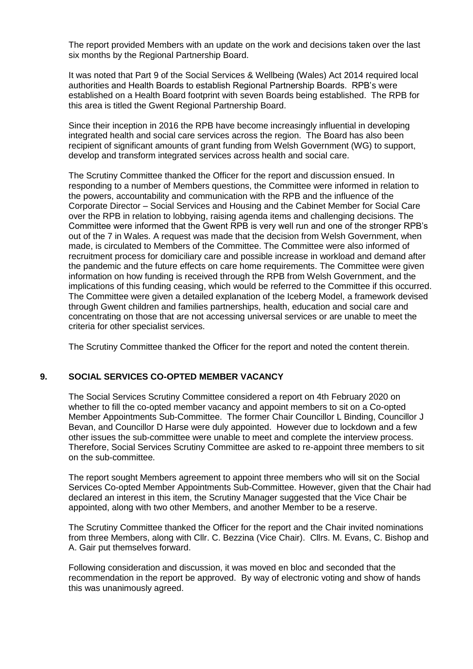The report provided Members with an update on the work and decisions taken over the last six months by the Regional Partnership Board.

It was noted that Part 9 of the Social Services & Wellbeing (Wales) Act 2014 required local authorities and Health Boards to establish Regional Partnership Boards. RPB's were established on a Health Board footprint with seven Boards being established. The RPB for this area is titled the Gwent Regional Partnership Board.

Since their inception in 2016 the RPB have become increasingly influential in developing integrated health and social care services across the region. The Board has also been recipient of significant amounts of grant funding from Welsh Government (WG) to support, develop and transform integrated services across health and social care.

The Scrutiny Committee thanked the Officer for the report and discussion ensued. In responding to a number of Members questions, the Committee were informed in relation to the powers, accountability and communication with the RPB and the influence of the Corporate Director – Social Services and Housing and the Cabinet Member for Social Care over the RPB in relation to lobbying, raising agenda items and challenging decisions. The Committee were informed that the Gwent RPB is very well run and one of the stronger RPB's out of the 7 in Wales. A request was made that the decision from Welsh Government, when made, is circulated to Members of the Committee. The Committee were also informed of recruitment process for domiciliary care and possible increase in workload and demand after the pandemic and the future effects on care home requirements. The Committee were given information on how funding is received through the RPB from Welsh Government, and the implications of this funding ceasing, which would be referred to the Committee if this occurred. The Committee were given a detailed explanation of the Iceberg Model, a framework devised through Gwent children and families partnerships, health, education and social care and concentrating on those that are not accessing universal services or are unable to meet the criteria for other specialist services.

The Scrutiny Committee thanked the Officer for the report and noted the content therein.

## **9. SOCIAL SERVICES CO-OPTED MEMBER VACANCY**

The Social Services Scrutiny Committee considered a report on 4th February 2020 on whether to fill the co-opted member vacancy and appoint members to sit on a Co-opted Member Appointments Sub-Committee. The former Chair Councillor L Binding, Councillor J Bevan, and Councillor D Harse were duly appointed. However due to lockdown and a few other issues the sub-committee were unable to meet and complete the interview process. Therefore, Social Services Scrutiny Committee are asked to re-appoint three members to sit on the sub-committee.

The report sought Members agreement to appoint three members who will sit on the Social Services Co-opted Member Appointments Sub-Committee. However, given that the Chair had declared an interest in this item, the Scrutiny Manager suggested that the Vice Chair be appointed, along with two other Members, and another Member to be a reserve.

The Scrutiny Committee thanked the Officer for the report and the Chair invited nominations from three Members, along with Cllr. C. Bezzina (Vice Chair). Cllrs. M. Evans, C. Bishop and A. Gair put themselves forward.

Following consideration and discussion, it was moved en bloc and seconded that the recommendation in the report be approved. By way of electronic voting and show of hands this was unanimously agreed.